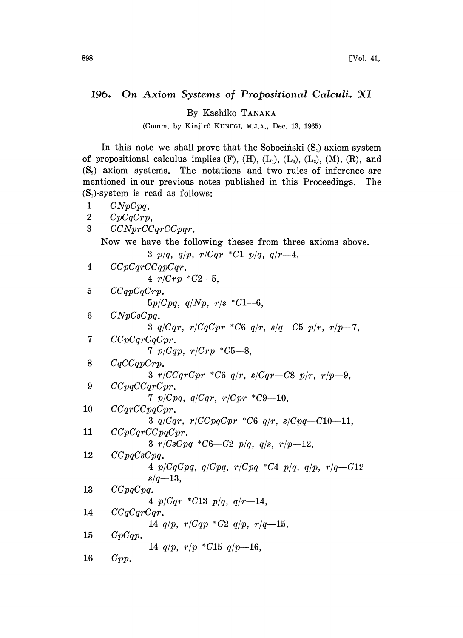## 196. On Axiom Systems of Propositional Calculi. XI

By Kashiko TANAKA

(Comm. by Kinjirô KUNUGI, M.J.A., Dec. 13, 1965)

In this note we shall prove that the Sobocinski  $(S_i)$  axiom system of propositional calculus implies  $(F)$ ,  $(H)$ ,  $(L_1)$ ,  $(L_2)$ ,  $(L_3)$ ,  $(M)$ ,  $(R)$ , and  $(S_2)$  axiom systems. The notations and two rules of inference are mentioned in our previous notes published in this Proceedings. The  $(S<sub>1</sub>)$ -system is read as follows:

 $1 \qquad C NpCpq,$ 2  $CpCqCrp$ , 3 CCNprCCqrCCpqr. Now we have the following theses from three axioms above.  $p/q$ ,  $q/p$ ,  $r/Cqr$  \*C1  $p/q$ ,  $q/r-4$ , CCpCqrCCqpCqr.  $r/Crp * C2-5$ , CCqpCqCrp.  $5p/Cpq$ ,  $q/Np$ ,  $r/s$  \*  $C1-6$ , CNpCsCpq.  $q/Cqr$ ,  $r/CqCpr$  \*C6  $q/r$ ,  $s/q$  -C5  $p/r$ ,  $r/p$  -7, CCpCqrCqCpr.  $p/Cqp$ ,  $r/Crp$  \*C5-8, CqCCqpCrp.  $3 r/CCqrCpr *C6 q/r$ ,  $s/Cqr-C8 p/r$ ,  $r/p-9$ , CCpqCCqrCpr.  $p/Cpq$ ,  $q/Cqr$ ,  $r/Cpr$  \*C9--10,  $CCqrCCpqCpr.$  $q/Cqr$ ,  $r/CCpqCpr$  \*C6  $q/r$ ,  $s/Cpq$ -C10-11, CCpCqrCCpqCpr.  $r/CsCpq * C6-C2 p/q, q/s, r/p-12,$  CCpqCsCpq. 4 p/CqCpq, q/Cpq,  $r/Cpq$  \*C4 p/q, q/p,  $r/q$ -C12  $s/q-13$ , 13  $CCpqCpq$ .  $p/Cqr * C13 p/q, q/r-14$ ,  $CCqCqrCqr$ .  $q/p$ ,  $r/Cqp$  \* $C2$   $q/p$ ,  $r/q$ -15, 15 CpCqp.  $q/p$ ,  $r/p$  \*C15  $q/p$ -16, 16 Cpp.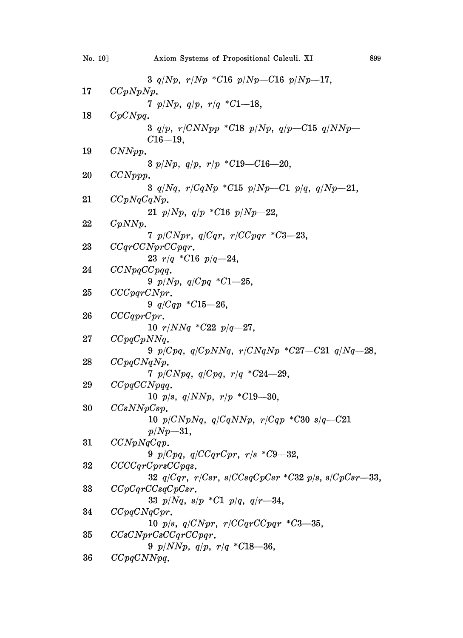| No. 10] | Axiom Systems of Propositional Calculi. XI                           | 899 |
|---------|----------------------------------------------------------------------|-----|
|         | 3 $q/Np$ , $r/Np$ *C16 $p/Np$ -C16 $p/Np-17$ ,                       |     |
| 17      | CCpNpNp.                                                             |     |
|         | 7 $p/Np$ , $q/p$ , $r/q$ *C1-18,                                     |     |
| 18      | CpCNpq.                                                              |     |
|         | 3 $q/p$ , $r/CNNpp$ *C18 $p/Np$ , $q/p-C15$ $q/NNp-$<br>$C16 - 19$ . |     |
| 19      | CNNpp.                                                               |     |
|         | 3 $p/Np$ , $q/p$ , $r/p$ *C19-C16-20,                                |     |
| 20      | CCNppp.                                                              |     |
|         | 3 $q/Nq$ , $r/CqNp$ *C15 $p/Np$ —C1 $p/q$ , $q/Np$ —21,              |     |
| 21      | CCpNqCqNp.                                                           |     |
|         | 21 $p/Np$ , $q/p$ *C16 $p/Np=22$ ,                                   |     |
| 22      | CpNNp.                                                               |     |
|         | 7 $p/CNpr$ , $q/Cqr$ , $r/CCpqr$ *C3-23,                             |     |
| 23      | CCqrCCNprCCpqr.                                                      |     |
|         | 23 $r/q$ *C16 $p/q$ -24,                                             |     |
| 24      | CCNpqCCpqq.                                                          |     |
|         | 9 $p/Np$ , $q/Cpq$ *C1-25,                                           |     |
| 25      | CCCpqrCNpr.                                                          |     |
|         | 9 $q/Cqp * C15-26$ ,                                                 |     |
| 26      | CCGprCpr.                                                            |     |
|         | 10 $r/NNq$ *C22 $p/q$ -27,                                           |     |
| 27      | CCpqCpNNq.                                                           |     |
|         | 9 $p/Cpq$ , $q/CpNNq$ , $r/CNqNp$ * $C27-C21$ $q/Nq-28$ ,            |     |
| 28      | CCpqCNqNp.                                                           |     |
|         | 7 $p/CNpq$ , $q/Cpq$ , $r/q$ *C24-29,                                |     |
| 29      | CCpqCCNpqq.                                                          |     |
|         | 10 $p/s$ , $q/NNp$ , $r/p$ *C19-30,                                  |     |
| 30      | CCsNNpCsp.                                                           |     |
|         | 10 $p/CNpNq$ , $q/CqNNp$ , $r/Cqp$ *C30 $s/q$ -C21                   |     |
|         | $p/Np - 31$ ,                                                        |     |
| 31      | CCNpNqCqp.                                                           |     |
|         | 9 $p/Cpq$ , $q/CCqrCpr$ , $r/s$ *C9-32,                              |     |
| 32      | CCCCqrCprsCCpqs.                                                     |     |
|         | 32 $q/Cqr$ , $r/Csr$ , $s/CCsqCpCsr * C32 p/s$ , $s/CpCsr - 33$ ,    |     |
| 33      | CCpCqrCCsqCpCsr.                                                     |     |
|         | 33 $p/Nq$ , $s/p$ *C1 $p/q$ , $q/r-34$ ,                             |     |
| 34      | CCpqCNqCpr.                                                          |     |
|         | 10 $p/s$ , $q/CNpr$ , $r/CCqrCCpqr$ *C3-35,                          |     |
| 35      | CCsCNprCsCCqrCCpqr.                                                  |     |
|         | 9 $p/NNp$ , $q/p$ , $r/q$ *C18-36,                                   |     |
| 36      | CCpqCNNpq.                                                           |     |